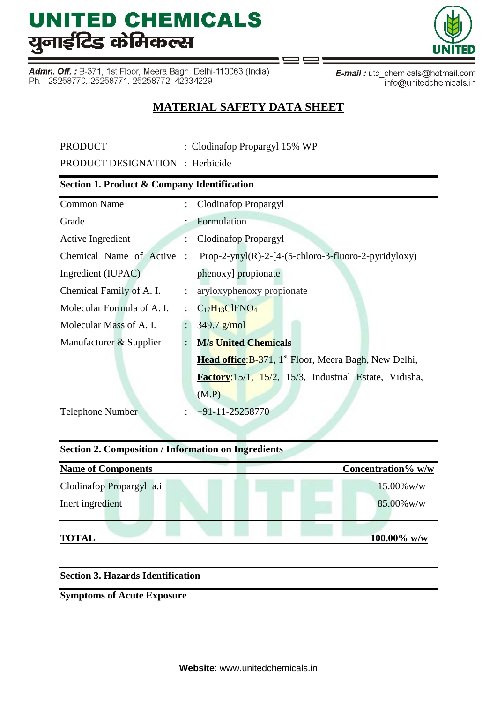# **UNITED CHEMICALS** युनाईटिड केमिकल्स

Admn. Off.: B-371, 1st Floor, Meera Bagh, Delhi-110063 (India) Ph.: 25258770, 25258771, 25258772, 42334229



### **MATERIAL SAFETY DATA SHEET**

| <b>PRODUCT</b>                         | : Clodinafop Propargyl 15% WP |  |
|----------------------------------------|-------------------------------|--|
| <b>PRODUCT DESIGNATION</b> : Herbicide |                               |  |

#### **Section 1. Product & Company Identification**

| <b>Common Name</b>                        | $\mathbb{R}^{\mathbb{Z}}$ | Clodinafop Propargyl                                              |  |  |  |  |
|-------------------------------------------|---------------------------|-------------------------------------------------------------------|--|--|--|--|
| Grade                                     |                           | Formulation                                                       |  |  |  |  |
| Active Ingredient                         | $\mathbb{R}^{\mathbb{Z}}$ | <b>Clodinafop Propargyl</b>                                       |  |  |  |  |
| Chemical Name of Active<br>$\ddot{\cdot}$ |                           | Prop-2-ynyl $(R)$ -2-[4- $(5$ -chloro-3-fluoro-2-pyridyloxy)      |  |  |  |  |
| Ingredient (IUPAC)                        |                           | phenoxy] propionate                                               |  |  |  |  |
| Chemical Family of A. I.                  |                           | : aryloxyphenoxy propionate                                       |  |  |  |  |
| Molecular Formula of A. I.                |                           | $\therefore$ C <sub>17</sub> H <sub>13</sub> ClFNO <sub>4</sub>   |  |  |  |  |
| Molecular Mass of A. I.                   | $\mathbb{R}^{\mathbb{Z}}$ | $349.7$ g/mol                                                     |  |  |  |  |
| Manufacturer & Supplier                   |                           | <b>M/s United Chemicals</b>                                       |  |  |  |  |
|                                           |                           | Head office: B-371, 1 <sup>st</sup> Floor, Meera Bagh, New Delhi, |  |  |  |  |
|                                           |                           | Factory: 15/1, 15/2, 15/3, Industrial Estate, Vidisha,            |  |  |  |  |
|                                           |                           | (M.P)                                                             |  |  |  |  |
| Telephone Number                          | $\ddot{\cdot}$            | $+91-11-25258770$                                                 |  |  |  |  |

### **Section 2. Composition / Information on Ingredients Name of Components** Concentration % w/w Clodinafop Propargyl a.i 15.00%w/w

| Inert ingredient |  |  |  | 85.00% w/w     |
|------------------|--|--|--|----------------|
| <b>TOTAL</b>     |  |  |  | $100.00\%$ w/w |

#### **Section 3. Hazards Identification**

**Symptoms of Acute Exposure**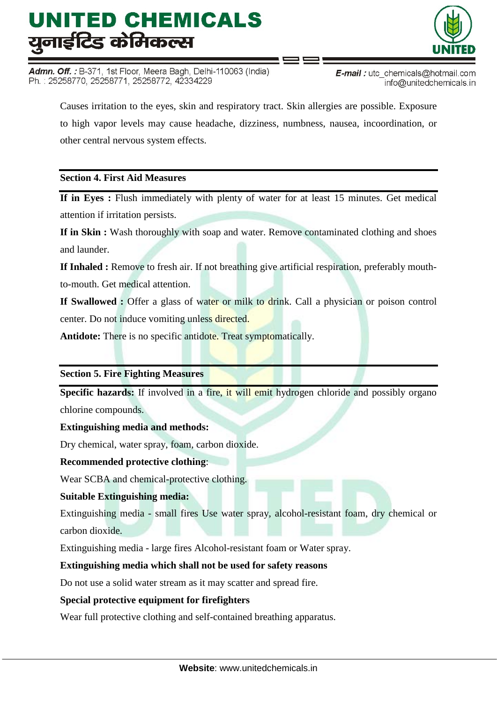# UNITED CHEMICALS यूनाईटिड केमिकल्स

Admn. Off.: B-371, 1st Floor, Meera Bagh, Delhi-110063 (India) Ph.: 25258770, 25258771, 25258772, 42334229



**E-mail**: utc chemicals@hotmail.com info@unitedchemicals.in

Causes irritation to the eyes, skin and respiratory tract. Skin allergies are possible. Exposure to high vapor levels may cause headache, dizziness, numbness, nausea, incoordination, or other central nervous system effects.

#### **Section 4. First Aid Measures**

**If in Eyes :** Flush immediately with plenty of water for at least 15 minutes. Get medical attention if irritation persists.

**If in Skin :** Wash thoroughly with soap and water. Remove contaminated clothing and shoes and launder.

**If Inhaled :** Remove to fresh air. If not breathing give artificial respiration, preferably mouthto-mouth. Get medical attention.

**If Swallowed :** Offer a glass of water or milk to drink. Call a physician or poison control center. Do not induce vomiting unless directed.

**Antidote:** There is no specific antidote. Treat symptomatically.

#### **Section 5. Fire Fighting Measures**

**Specific hazards:** If involved in a fire, it will emit hydrogen chloride and possibly organo chlorine compounds.

#### **Extinguishing media and methods:**

Dry chemical, water spray, foam, carbon dioxide.

#### **Recommended protective clothing**:

Wear SCBA and chemical-protective clothing.

#### **Suitable Extinguishing media:**

Extinguishing media - small fires Use water spray, alcohol-resistant foam, dry chemical or carbon dioxide.

Extinguishing media - large fires Alcohol-resistant foam or Water spray.

#### **Extinguishing media which shall not be used for safety reasons**

Do not use a solid water stream as it may scatter and spread fire.

#### **Special protective equipment for firefighters**

Wear full protective clothing and self-contained breathing apparatus.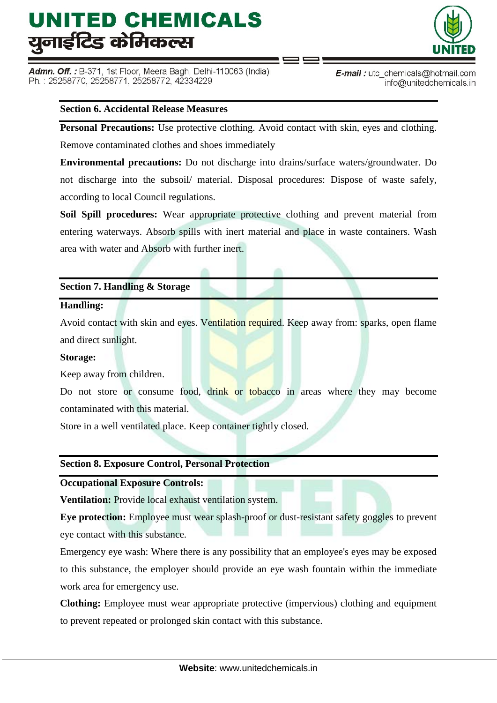# UNITED CHEMICALS यूनाईटिड केमिकल्स

Admn. Off. : B-371, 1st Floor, Meera Bagh, Delhi-110063 (India) Ph.: 25258770, 25258771, 25258772, 42334229



**E-mail**: utc chemicals@hotmail.com info@unitedchemicals.in

#### **Section 6. Accidental Release Measures**

**Personal Precautions:** Use protective clothing. Avoid contact with skin, eyes and clothing. Remove contaminated clothes and shoes immediately

**Environmental precautions:** Do not discharge into drains/surface waters/groundwater. Do not discharge into the subsoil/ material. Disposal procedures: Dispose of waste safely, according to local Council regulations.

**Soil Spill procedures:** Wear appropriate protective clothing and prevent material from entering waterways. Absorb spills with inert material and place in waste containers. Wash area with water and Absorb with further inert.

#### **Section 7. Handling & Storage**

#### **Handling:**

Avoid contact with skin and eyes. Ventilation required. Keep away from: sparks, open flame and direct sunlight.

#### **Storage:**

Keep away from children.

Do not store or consume food, drink or tobacco in areas where they may become contaminated with this material.

Store in a well ventilated place. Keep container tightly closed.

#### **Section 8. Exposure Control, Personal Protection**

**Occupational Exposure Controls:**

**Ventilation:** Provide local exhaust ventilation system.

**Eye protection:** Employee must wear splash-proof or dust-resistant safety goggles to prevent eye contact with this substance.

Emergency eye wash: Where there is any possibility that an employee's eyes may be exposed to this substance, the employer should provide an eye wash fountain within the immediate work area for emergency use.

**Clothing:** Employee must wear appropriate protective (impervious) clothing and equipment to prevent repeated or prolonged skin contact with this substance.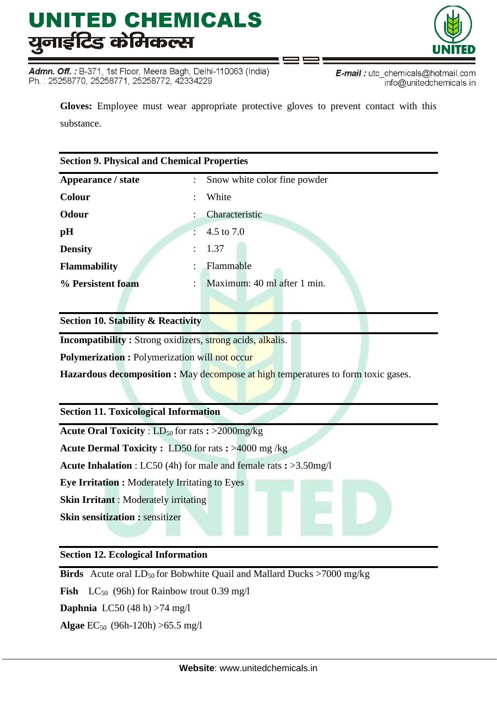# UNITED CHEMICALS युनाईटिड केमिकल्स

Admn. Off.: B-371, 1st Floor, Meera Bagh, Delhi-110063 (India) Ph.: 25258770, 25258771, 25258772, 42334229



**Gloves:** Employee must wear appropriate protective gloves to prevent contact with this substance.

| <b>Section 9. Physical and Chemical Properties</b> |                                         |  |  |  |  |  |
|----------------------------------------------------|-----------------------------------------|--|--|--|--|--|
| Appearance / state                                 | : Snow white color fine powder          |  |  |  |  |  |
| <b>Colour</b>                                      | White                                   |  |  |  |  |  |
| Odour                                              | Characteristic                          |  |  |  |  |  |
| pH                                                 | 4.5 to 7.0<br>$\mathbb{R}^{\mathbb{Z}}$ |  |  |  |  |  |
| <b>Density</b>                                     | : 1.37                                  |  |  |  |  |  |
| <b>Flammability</b>                                | Flammable                               |  |  |  |  |  |
| % Persistent foam                                  | Maximum: 40 ml after 1 min.<br>÷        |  |  |  |  |  |
|                                                    |                                         |  |  |  |  |  |

**Section 10. Stability & Reactivity**

**Incompatibility :** Strong oxidizers, strong acids, alkalis.

**Polymerization :** Polymerization will not occur

**Hazardous decomposition :** May decompose at high temperatures to form toxic gases.

#### **Section 11. Toxicological Information**

**Acute Oral Toxicity** : LD<sub>50</sub> for rats **:** >2000mg/kg

**Acute Dermal Toxicity :** LD50 for rats **:** >4000 mg /kg

**Acute Inhalation** : LC50 (4h) for male and female rats **:** >3.50mg/l

**Eye Irritation :** Moderately Irritating to Eyes

**Skin Irritant** : Moderately irritating

**Skin sensitization :** sensitizer

#### **Section 12. Ecological Information**

**Birds** Acute oral  $LD_{50}$  for Bobwhite Quail and Mallard Ducks >7000 mg/kg

**Fish**  $LC_{50}$  (96h) for Rainbow trout 0.39 mg/l

**Daphnia** LC50 (48 h) >74 mg/l

**Algae** EC50 (96h-120h) >65.5 mg/l